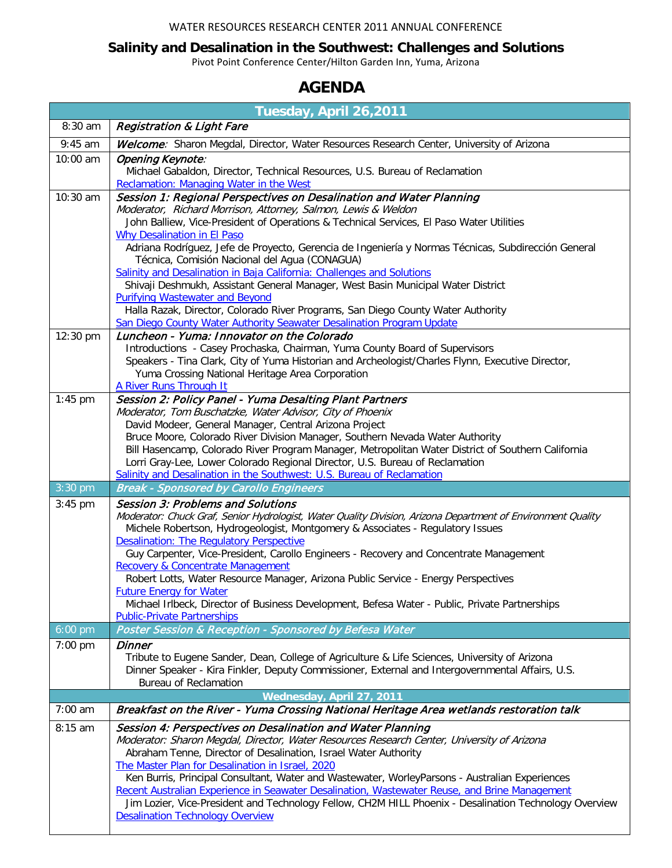## WATER RESOURCES RESEARCH CENTER 2011 ANNUAL CONFERENCE

## **Salinity and Desalination in the Southwest: Challenges and Solutions**

Pivot Point Conference Center/Hilton Garden Inn, Yuma, Arizona

## **AGENDA**

| Tuesday, April 26,2011 |                                                                                                                                                                                                                                            |  |
|------------------------|--------------------------------------------------------------------------------------------------------------------------------------------------------------------------------------------------------------------------------------------|--|
| 8:30 am                | <b>Registration &amp; Light Fare</b>                                                                                                                                                                                                       |  |
| $9:45$ am              | Welcome: Sharon Megdal, Director, Water Resources Research Center, University of Arizona                                                                                                                                                   |  |
| 10:00 am               | Opening Keynote:<br>Michael Gabaldon, Director, Technical Resources, U.S. Bureau of Reclamation<br>Reclamation: Managing Water in the West                                                                                                 |  |
| 10:30 am               | Session 1: Regional Perspectives on Desalination and Water Planning                                                                                                                                                                        |  |
|                        | Moderator, Richard Morrison, Attorney, Salmon, Lewis & Weldon<br>John Balliew, Vice-President of Operations & Technical Services, El Paso Water Utilities                                                                                  |  |
|                        | <b>Why Desalination in El Paso</b>                                                                                                                                                                                                         |  |
|                        | Adriana Rodríguez, Jefe de Proyecto, Gerencia de Ingeniería y Normas Técnicas, Subdirección General                                                                                                                                        |  |
|                        | Técnica, Comisión Nacional del Agua (CONAGUA)<br>Salinity and Desalination in Baja California: Challenges and Solutions                                                                                                                    |  |
|                        | Shivaji Deshmukh, Assistant General Manager, West Basin Municipal Water District                                                                                                                                                           |  |
|                        | <b>Purifying Wastewater and Beyond</b>                                                                                                                                                                                                     |  |
|                        | Halla Razak, Director, Colorado River Programs, San Diego County Water Authority<br>San Diego County Water Authority Seawater Desalination Program Update                                                                                  |  |
| 12:30 pm               | Luncheon - Yuma: Innovator on the Colorado                                                                                                                                                                                                 |  |
|                        | Introductions - Casey Prochaska, Chairman, Yuma County Board of Supervisors                                                                                                                                                                |  |
|                        | Speakers - Tina Clark, City of Yuma Historian and Archeologist/Charles Flynn, Executive Director,<br>Yuma Crossing National Heritage Area Corporation                                                                                      |  |
|                        | A River Runs Through It                                                                                                                                                                                                                    |  |
| $1:45$ pm              | Session 2: Policy Panel - Yuma Desalting Plant Partners                                                                                                                                                                                    |  |
|                        | Moderator, Tom Buschatzke, Water Advisor, City of Phoenix<br>David Modeer, General Manager, Central Arizona Project                                                                                                                        |  |
|                        | Bruce Moore, Colorado River Division Manager, Southern Nevada Water Authority                                                                                                                                                              |  |
|                        | Bill Hasencamp, Colorado River Program Manager, Metropolitan Water District of Southern California                                                                                                                                         |  |
|                        | Lorri Gray-Lee, Lower Colorado Regional Director, U.S. Bureau of Reclamation<br>Salinity and Desalination in the Southwest: U.S. Bureau of Reclamation                                                                                     |  |
| 3:30 pm                | <b>Break - Sponsored by Carollo Engineers</b>                                                                                                                                                                                              |  |
| $3:45$ pm              | <b>Session 3: Problems and Solutions</b>                                                                                                                                                                                                   |  |
|                        | Moderator: Chuck Graf, Senior Hydrologist, Water Quality Division, Arizona Department of Environment Quality<br>Michele Robertson, Hydrogeologist, Montgomery & Associates - Regulatory Issues<br>Desalination: The Regulatory Perspective |  |
|                        | Guy Carpenter, Vice-President, Carollo Engineers - Recovery and Concentrate Management                                                                                                                                                     |  |
|                        | Recovery & Concentrate Management                                                                                                                                                                                                          |  |
|                        | Robert Lotts, Water Resource Manager, Arizona Public Service - Energy Perspectives<br><b>Future Energy for Water</b>                                                                                                                       |  |
|                        | Michael Irlbeck, Director of Business Development, Befesa Water - Public, Private Partnerships                                                                                                                                             |  |
|                        | <b>Public-Private Partnerships</b>                                                                                                                                                                                                         |  |
| 6:00 pm                | Poster Session & Reception - Sponsored by Befesa Water                                                                                                                                                                                     |  |
| 7:00 pm                | Dinner<br>Tribute to Eugene Sander, Dean, College of Agriculture & Life Sciences, University of Arizona                                                                                                                                    |  |
|                        | Dinner Speaker - Kira Finkler, Deputy Commissioner, External and Intergovernmental Affairs, U.S.                                                                                                                                           |  |
|                        | <b>Bureau of Reclamation</b>                                                                                                                                                                                                               |  |
| $7:00$ am              | Wednesday, April 27, 2011<br>Breakfast on the River - Yuma Crossing National Heritage Area wetlands restoration talk                                                                                                                       |  |
| 8:15 am                | Session 4: Perspectives on Desalination and Water Planning                                                                                                                                                                                 |  |
|                        | Moderator: Sharon Megdal, Director, Water Resources Research Center, University of Arizona                                                                                                                                                 |  |
|                        | Abraham Tenne, Director of Desalination, Israel Water Authority                                                                                                                                                                            |  |
|                        | The Master Plan for Desalination in Israel, 2020                                                                                                                                                                                           |  |
|                        | Ken Burris, Principal Consultant, Water and Wastewater, WorleyParsons - Australian Experiences<br>Recent Australian Experience in Seawater Desalination, Wastewater Reuse, and Brine Management                                            |  |
|                        | Jim Lozier, Vice-President and Technology Fellow, CH2M HILL Phoenix - Desalination Technology Overview<br><b>Desalination Technology Overview</b>                                                                                          |  |
|                        |                                                                                                                                                                                                                                            |  |